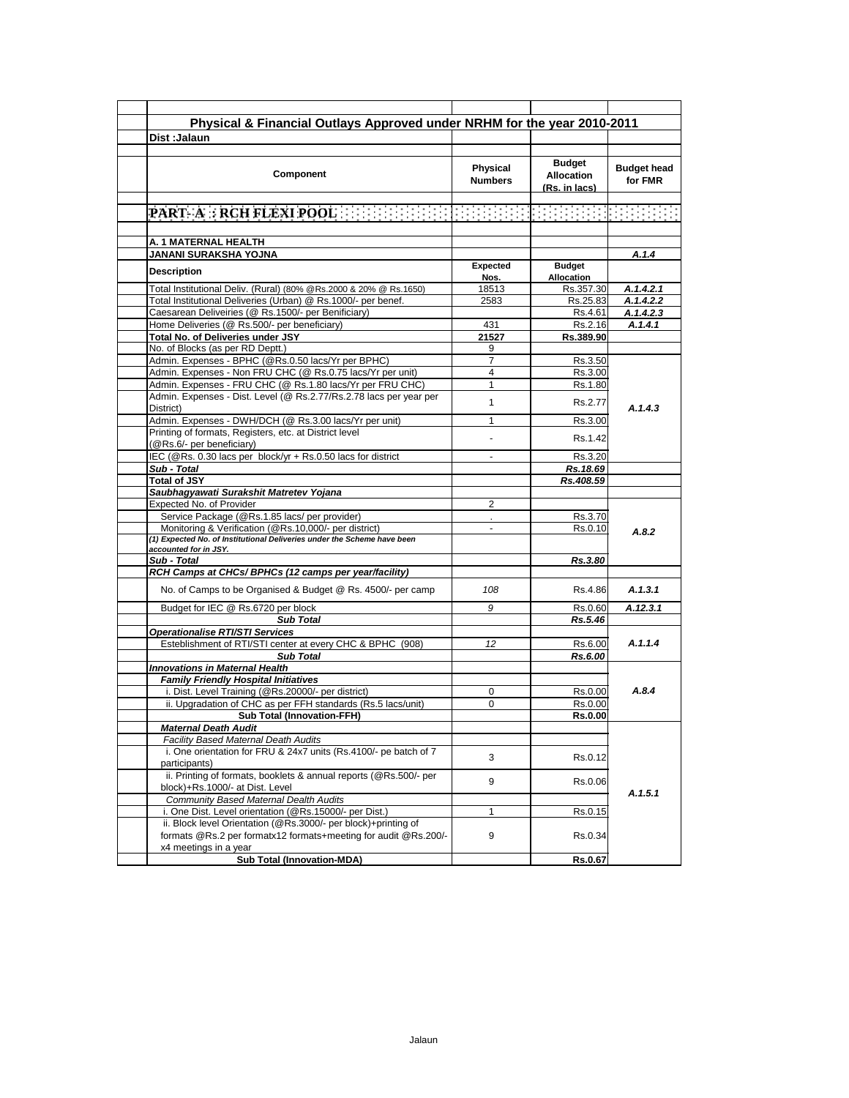| Physical & Financial Outlays Approved under NRHM for the year 2010-2011         |                |                         |                        |
|---------------------------------------------------------------------------------|----------------|-------------------------|------------------------|
| Dist: Jalaun                                                                    |                |                         |                        |
|                                                                                 |                |                         |                        |
|                                                                                 |                | <b>Budget</b>           |                        |
|                                                                                 | Physical       |                         | <b>Budget head</b>     |
| Component                                                                       | <b>Numbers</b> | <b>Allocation</b>       | for FMR                |
|                                                                                 |                | (Rs. in lacs)           |                        |
|                                                                                 |                |                         |                        |
|                                                                                 |                |                         |                        |
|                                                                                 |                |                         |                        |
| A. 1 MATERNAL HEALTH                                                            |                |                         |                        |
| JANANI SURAKSHA YOJNA                                                           |                | <b>Budget</b>           | A.1.4                  |
| <b>Description</b>                                                              | Expected       |                         |                        |
| Total Institutional Deliv. (Rural) (80% @Rs.2000 & 20% @ Rs.1650)               | Nos.<br>18513  | Allocation<br>Rs.357.30 |                        |
| Total Institutional Deliveries (Urban) @ Rs.1000/- per benef.                   | 2583           | Rs.25.83                | A.1.4.2.1<br>A.1.4.2.2 |
|                                                                                 |                |                         |                        |
| Caesarean Deliveiries (@ Rs.1500/- per Benificiary)                             |                | Rs.4.61                 | A.1.4.2.3              |
| Home Deliveries (@ Rs.500/- per beneficiary)                                    | 431            | Rs.2.16                 | A.1.4.1                |
| Total No. of Deliveries under JSY                                               | 21527          | Rs.389.90               |                        |
| No. of Blocks (as per RD Deptt.)                                                | 9              |                         |                        |
| Admin. Expenses - BPHC (@Rs.0.50 lacs/Yr per BPHC)                              | 7              | Rs.3.50                 |                        |
| Admin. Expenses - Non FRU CHC (@ Rs.0.75 lacs/Yr per unit)                      | 4              | Rs.3.00                 |                        |
| Admin. Expenses - FRU CHC (@ Rs.1.80 lacs/Yr per FRU CHC)                       | 1              | Rs.1.80                 |                        |
| Admin. Expenses - Dist. Level (@ Rs.2.77/Rs.2.78 lacs per year per<br>District) | 1              | Rs.2.77                 | A.1.4.3                |
| Admin. Expenses - DWH/DCH (@ Rs.3.00 lacs/Yr per unit)                          | 1              | Rs.3.00                 |                        |
| Printing of formats, Registers, etc. at District level                          |                |                         |                        |
| (@Rs.6/- per beneficiary)                                                       |                | Rs.1.42                 |                        |
| IEC (@Rs. 0.30 lacs per block/yr + Rs.0.50 lacs for district                    | $\mathbf{r}$   | Rs.3.20                 |                        |
| Sub - Total                                                                     |                | Rs.18.69                |                        |
| <b>Total of JSY</b>                                                             |                | Rs.408.59               |                        |
| Saubhagyawati Surakshit Matretev Yojana                                         |                |                         |                        |
| Expected No. of Provider                                                        | 2              |                         |                        |
| Service Package (@Rs.1.85 lacs/ per provider)                                   |                | Rs.3.70                 |                        |
| Monitoring & Verification (@Rs.10,000/- per district)                           | $\frac{1}{2}$  | Rs.0.10                 |                        |
| (1) Expected No. of Institutional Deliveries under the Scheme have been         |                |                         | A.8.2                  |
| accounted for in JSY.                                                           |                |                         |                        |
| Sub - Total                                                                     |                | Rs.3.80                 |                        |
| RCH Camps at CHCs/ BPHCs (12 camps per year/facility)                           |                |                         |                        |
| No. of Camps to be Organised & Budget @ Rs. 4500/- per camp                     | 108            | Rs.4.86                 | A.1.3.1                |
| Budget for IEC @ Rs.6720 per block                                              | 9              | Rs.0.60                 | A.12.3.1               |
| <b>Sub Total</b>                                                                |                | Rs.5.46                 |                        |
| <b>Operationalise RTI/STI Services</b>                                          |                |                         |                        |
| Esteblishment of RTI/STI center at every CHC & BPHC (908)                       | 12             | Rs.6.00                 | A.1.1.4                |
| <b>Sub Total</b>                                                                |                | Rs.6.00                 |                        |
| <b>Innovations in Maternal Health</b>                                           |                |                         |                        |
| <b>Family Friendly Hospital Initiatives</b>                                     |                |                         |                        |
| i. Dist. Level Training (@Rs.20000/- per district)                              | 0              | Rs.0.00                 | A.8.4                  |
| ii. Upgradation of CHC as per FFH standards (Rs.5 lacs/unit)                    | 0              | Rs.0.00                 |                        |
| <b>Sub Total (Innovation-FFH)</b>                                               |                | Rs.0.00                 |                        |
| <b>Maternal Death Audit</b>                                                     |                |                         |                        |
| Facility Based Maternal Death Audits                                            |                |                         |                        |
| i. One orientation for FRU & 24x7 units (Rs.4100/- pe batch of 7                |                |                         |                        |
| participants)                                                                   | 3              | Rs.0.12                 |                        |
| ii. Printing of formats, booklets & annual reports (@Rs.500/- per               |                |                         |                        |
| block)+Rs.1000/- at Dist. Level                                                 | 9              | Rs.0.06                 |                        |
| Community Based Maternal Dealth Audits                                          |                |                         | A.1.5.1                |
| i. One Dist. Level orientation (@Rs.15000/- per Dist.)                          | 1              | Rs.0.15                 |                        |
| ii. Block level Orientation (@Rs.3000/- per block)+printing of                  |                |                         |                        |
| formats @Rs.2 per formatx12 formats+meeting for audit @Rs.200/-                 | 9              |                         |                        |
|                                                                                 |                | Rs.0.34                 |                        |
| x4 meetings in a year                                                           |                | Rs.0.67                 |                        |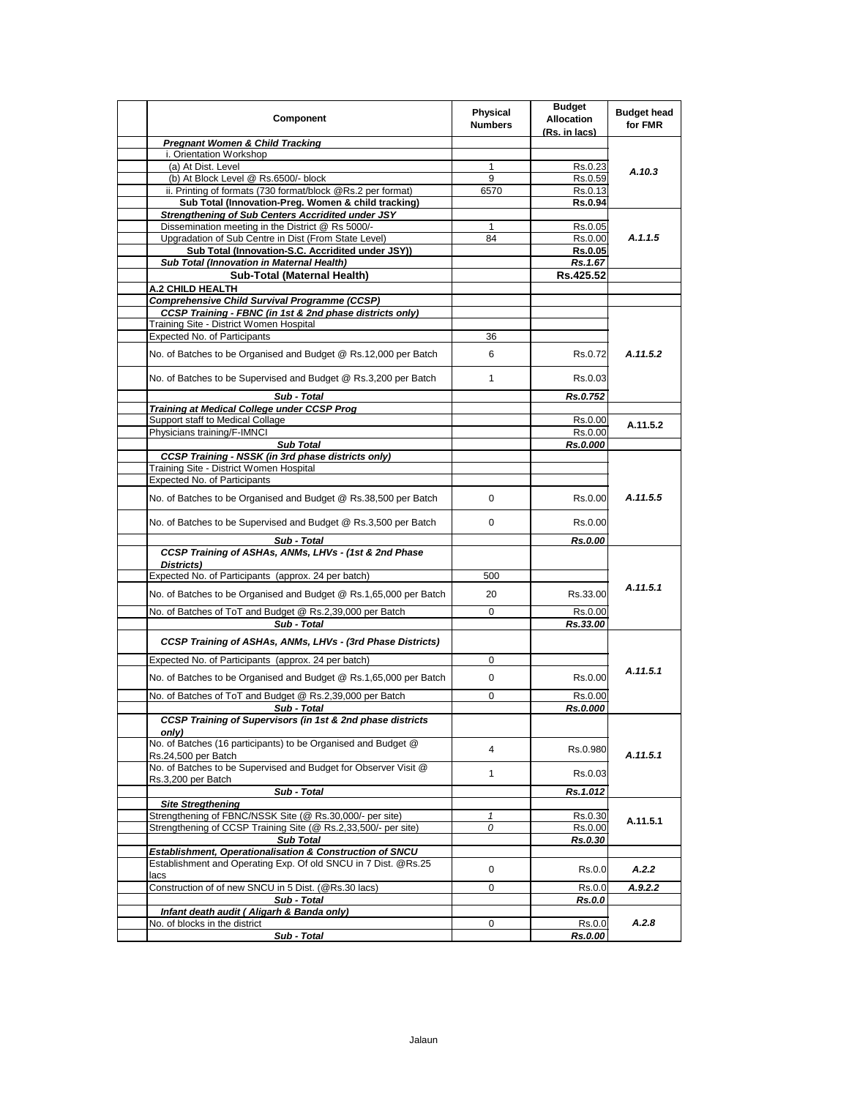| Component                                                                                                                  | Physical<br><b>Numbers</b> | <b>Budget</b><br><b>Allocation</b><br>(Rs. in lacs) | <b>Budget head</b><br>for FMR |
|----------------------------------------------------------------------------------------------------------------------------|----------------------------|-----------------------------------------------------|-------------------------------|
| <b>Pregnant Women &amp; Child Tracking</b>                                                                                 |                            |                                                     |                               |
| i. Orientation Workshop                                                                                                    |                            |                                                     |                               |
| (a) At Dist. Level                                                                                                         | 1                          | Rs.0.23                                             | A.10.3                        |
| (b) At Block Level @ Rs.6500/- block                                                                                       | 9                          | Rs.0.59                                             |                               |
| ii. Printing of formats (730 format/block @Rs.2 per format)                                                                | 6570                       | Rs.0.13                                             |                               |
| Sub Total (Innovation-Preg. Women & child tracking)                                                                        |                            | Rs.0.94                                             |                               |
| <b>Strengthening of Sub Centers Accridited under JSY</b>                                                                   |                            |                                                     |                               |
| Dissemination meeting in the District @ Rs 5000/-                                                                          | $\mathbf{1}$               | Rs.0.05                                             |                               |
| Upgradation of Sub Centre in Dist (From State Level)                                                                       | 84                         | Rs.0.00                                             | A.1.1.5                       |
| Sub Total (Innovation-S.C. Accridited under JSY))                                                                          |                            | <b>Rs.0.05</b>                                      |                               |
| Sub Total (Innovation in Maternal Health)                                                                                  |                            | Rs.1.67                                             |                               |
| Sub-Total (Maternal Health)                                                                                                |                            | Rs.425.52                                           |                               |
| A.2 CHILD HEALTH                                                                                                           |                            |                                                     |                               |
| <b>Comprehensive Child Survival Programme (CCSP)</b>                                                                       |                            |                                                     |                               |
| CCSP Training - FBNC (in 1st & 2nd phase districts only)                                                                   |                            |                                                     |                               |
| Training Site - District Women Hospital<br><b>Expected No. of Participants</b>                                             |                            |                                                     |                               |
|                                                                                                                            | 36                         |                                                     |                               |
| No. of Batches to be Organised and Budget @ Rs.12,000 per Batch                                                            | 6                          | Rs.0.72                                             | A.11.5.2                      |
| No. of Batches to be Supervised and Budget @ Rs.3,200 per Batch                                                            | $\mathbf{1}$               | Rs.0.03                                             |                               |
| Sub - Total                                                                                                                |                            | Rs.0.752                                            |                               |
| <b>Training at Medical College under CCSP Prog</b>                                                                         |                            |                                                     |                               |
| Support staff to Medical Collage                                                                                           |                            | Rs.0.00                                             | A.11.5.2                      |
| Physicians training/F-IMNCI                                                                                                |                            | Rs.0.00                                             |                               |
| <b>Sub Total</b>                                                                                                           |                            | Rs.0.000                                            |                               |
| <b>CCSP Training - NSSK (in 3rd phase districts only)</b><br>Training Site - District Women Hospital                       |                            |                                                     |                               |
| Expected No. of Participants                                                                                               |                            |                                                     |                               |
| No. of Batches to be Organised and Budget @ Rs.38,500 per Batch                                                            | 0                          | Rs.0.00                                             | A.11.5.5                      |
| No. of Batches to be Supervised and Budget @ Rs.3,500 per Batch                                                            | 0                          | Rs.0.00                                             |                               |
|                                                                                                                            |                            |                                                     |                               |
| Sub - Total                                                                                                                |                            | Rs.0.00                                             |                               |
| CCSP Training of ASHAs, ANMs, LHVs - (1st & 2nd Phase<br>Districts)                                                        |                            |                                                     |                               |
| Expected No. of Participants (approx. 24 per batch)                                                                        | 500                        |                                                     |                               |
| No. of Batches to be Organised and Budget @ Rs.1,65,000 per Batch                                                          | 20                         | Rs.33.00                                            | A.11.5.1                      |
| No. of Batches of ToT and Budget @ Rs.2,39,000 per Batch                                                                   | 0                          | Rs.0.00                                             |                               |
| Sub - Total                                                                                                                |                            | Rs.33.00                                            |                               |
| CCSP Training of ASHAs, ANMs, LHVs - (3rd Phase Districts)                                                                 |                            |                                                     |                               |
| Expected No. of Participants (approx. 24 per batch)                                                                        | 0                          |                                                     | A.11.5.1                      |
| No. of Batches to be Organised and Budget @ Rs.1,65,000 per Batch                                                          | 0                          | Rs.0.00                                             |                               |
| No. of Batches of ToT and Budget @ Rs.2,39,000 per Batch                                                                   | 0                          | Rs.0.00                                             |                               |
| Sub - Total<br><b>CCSP Training of Supervisors (in 1st &amp; 2nd phase districts</b>                                       |                            | Rs.0.000                                            |                               |
| only)<br>No. of Batches (16 participants) to be Organised and Budget @                                                     | 4                          | Rs.0.980                                            |                               |
| Rs.24,500 per Batch<br>No. of Batches to be Supervised and Budget for Observer Visit @                                     | $\mathbf{1}$               | Rs.0.03                                             | A.11.5.1                      |
| Rs.3,200 per Batch                                                                                                         |                            |                                                     |                               |
| Sub - Total                                                                                                                |                            | Rs.1.012                                            |                               |
| <b>Site Stregthening</b>                                                                                                   |                            |                                                     | A.11.5.1                      |
| Strengthening of FBNC/NSSK Site (@ Rs.30,000/- per site)<br>Strengthening of CCSP Training Site (@ Rs.2,33,500/- per site) | 1<br>0                     | Rs.0.30                                             |                               |
| <b>Sub Total</b>                                                                                                           |                            | Rs.0.00<br>Rs.0.30                                  |                               |
| Establishment, Operationalisation & Construction of SNCU                                                                   |                            |                                                     |                               |
| Establishment and Operating Exp. Of old SNCU in 7 Dist. @Rs.25                                                             |                            |                                                     |                               |
| lacs                                                                                                                       | 0                          | Rs.0.0                                              | A.2.2                         |
| Construction of of new SNCU in 5 Dist. (@Rs.30 lacs)                                                                       | 0                          | Rs.0.0                                              | A.9.2.2                       |
| Sub - Total                                                                                                                |                            | <b>Rs.0.0</b>                                       |                               |
| Infant death audit (Aligarh & Banda only)                                                                                  |                            |                                                     |                               |
| No. of blocks in the district                                                                                              | 0                          | Rs.0.0                                              | A.2.8                         |
| Sub - Total                                                                                                                |                            | Rs.0.00                                             |                               |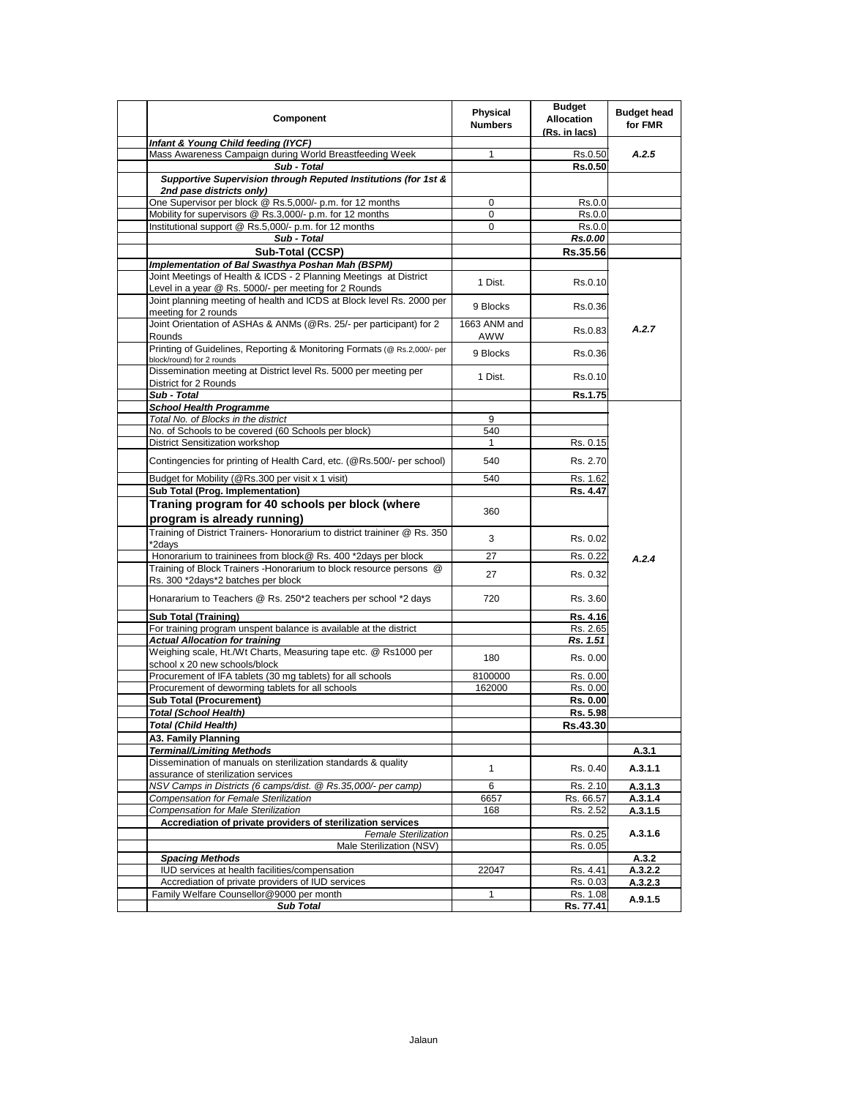| Component                                                                                                                      | Physical<br><b>Numbers</b> | <b>Budget</b><br><b>Allocation</b><br>(Rs. in lacs) | <b>Budget head</b><br>for FMR |
|--------------------------------------------------------------------------------------------------------------------------------|----------------------------|-----------------------------------------------------|-------------------------------|
| Infant & Young Child feeding (IYCF)                                                                                            |                            |                                                     |                               |
| Mass Awareness Campaign during World Breastfeeding Week                                                                        | 1                          | Rs.0.50                                             | A.2.5                         |
| Sub - Total                                                                                                                    |                            | <b>Rs.0.50</b>                                      |                               |
| Supportive Supervision through Reputed Institutions (for 1st &<br>2nd pase districts only)                                     |                            |                                                     |                               |
| One Supervisor per block @ Rs.5,000/- p.m. for 12 months                                                                       | 0                          | Rs.0.0                                              |                               |
| Mobility for supervisors @ Rs.3,000/- p.m. for 12 months                                                                       | $\mathbf 0$                | Rs.0.0                                              |                               |
| Institutional support @ Rs.5,000/- p.m. for 12 months                                                                          | $\mathbf 0$                | Rs.0.0                                              |                               |
| Sub - Total                                                                                                                    |                            | Rs.0.00                                             |                               |
| Sub-Total (CCSP)                                                                                                               |                            | Rs.35.56                                            |                               |
| Implementation of Bal Swasthya Poshan Mah (BSPM)<br>Joint Meetings of Health & ICDS - 2 Planning Meetings at District          | 1 Dist.                    | Rs.0.10                                             |                               |
| Level in a year @ Rs. 5000/- per meeting for 2 Rounds<br>Joint planning meeting of health and ICDS at Block level Rs. 2000 per | 9 Blocks                   | Rs.0.36                                             |                               |
| meeting for 2 rounds<br>Joint Orientation of ASHAs & ANMs (@Rs. 25/- per participant) for 2                                    | 1663 ANM and               | Rs.0.83                                             | A.2.7                         |
| Rounds<br>Printing of Guidelines, Reporting & Monitoring Formats (@ Rs.2,000/- per<br>block/round) for 2 rounds                | AWW<br>9 Blocks            | Rs.0.36                                             |                               |
| Dissemination meeting at District level Rs. 5000 per meeting per<br>District for 2 Rounds                                      | 1 Dist.                    | Rs.0.10                                             |                               |
| Sub - Total                                                                                                                    |                            | Rs.1.75                                             |                               |
| <b>School Health Programme</b>                                                                                                 |                            |                                                     |                               |
| Total No. of Blocks in the district                                                                                            | 9                          |                                                     |                               |
| No. of Schools to be covered (60 Schools per block)                                                                            | 540                        |                                                     |                               |
| <b>District Sensitization workshop</b>                                                                                         | $\mathbf{1}$               | Rs. 0.15                                            |                               |
| Contingencies for printing of Health Card, etc. (@Rs.500/- per school)                                                         | 540                        | Rs. 2.70                                            |                               |
| Budget for Mobility (@Rs.300 per visit x 1 visit)                                                                              | 540                        | Rs. 1.62                                            |                               |
| Sub Total (Prog. Implementation)                                                                                               |                            | Rs. 4.47                                            |                               |
| Traning program for 40 schools per block (where                                                                                |                            |                                                     |                               |
| program is already running)                                                                                                    | 360                        |                                                     |                               |
| Training of District Trainers- Honorarium to district traininer @ Rs. 350<br>*2days                                            | 3                          | Rs. 0.02                                            |                               |
| Honorarium to traininees from block@ Rs. 400 *2days per block                                                                  | 27                         | Rs. 0.22                                            |                               |
| Training of Block Trainers - Honorarium to block resource persons @<br>Rs. 300 *2days*2 batches per block                      | 27                         | Rs. 0.32                                            | A.2.4                         |
| Honararium to Teachers @ Rs. 250*2 teachers per school *2 days                                                                 | 720                        | Rs. 3.60                                            |                               |
| <b>Sub Total (Training)</b>                                                                                                    |                            | Rs. 4.16                                            |                               |
| For training program unspent balance is available at the district                                                              |                            | Rs. 2.65                                            |                               |
| <b>Actual Allocation for training</b>                                                                                          |                            | Rs. 1.51                                            |                               |
| Weighing scale, Ht./Wt Charts, Measuring tape etc. @ Rs1000 per<br>school x 20 new schools/block                               | 180                        | Rs. 0.00                                            |                               |
| Procurement of IFA tablets (30 mg tablets) for all schools                                                                     | 8100000                    | Rs. 0.00                                            |                               |
| Procurement of deworming tablets for all schools                                                                               | 162000                     | Rs. 0.00                                            |                               |
| <b>Sub Total (Procurement)</b>                                                                                                 |                            | Rs. 0.00                                            |                               |
| <b>Total (School Health)</b>                                                                                                   |                            | Rs. 5.98                                            |                               |
| <b>Total (Child Health)</b>                                                                                                    |                            | Rs.43.30                                            |                               |
| A3. Family Planning                                                                                                            |                            |                                                     |                               |
| <b>Terminal/Limiting Methods</b>                                                                                               |                            |                                                     | A.3.1                         |
| Dissemination of manuals on sterilization standards & quality                                                                  | $\mathbf{1}$               | Rs. 0.40                                            | A.3.1.1                       |
| assurance of sterilization services                                                                                            |                            |                                                     |                               |
| NSV Camps in Districts (6 camps/dist. @ Rs.35,000/- per camp)                                                                  | 6                          | Rs. 2.10                                            | A.3.1.3                       |
| Compensation for Female Sterilization                                                                                          | 6657                       | Rs. 66.57                                           | A.3.1.4                       |
| <b>Compensation for Male Sterilization</b>                                                                                     | 168                        | Rs. 2.52                                            | A.3.1.5                       |
| Accrediation of private providers of sterilization services                                                                    |                            |                                                     |                               |
| <b>Female Sterilization</b><br>Male Sterilization (NSV)                                                                        |                            | Rs. 0.25<br>Rs. 0.05                                | A.3.1.6                       |
| <b>Spacing Methods</b>                                                                                                         |                            |                                                     | A.3.2                         |
| IUD services at health facilities/compensation                                                                                 | 22047                      | Rs. 4.41                                            | A.3.2.2                       |
| Accrediation of private providers of IUD services                                                                              |                            | Rs. 0.03                                            | A.3.2.3                       |
| Family Welfare Counsellor@9000 per month                                                                                       | $\mathbf{1}$               | Rs. 1.08                                            | A.9.1.5                       |
| <b>Sub Total</b>                                                                                                               |                            | Rs. 77.41                                           |                               |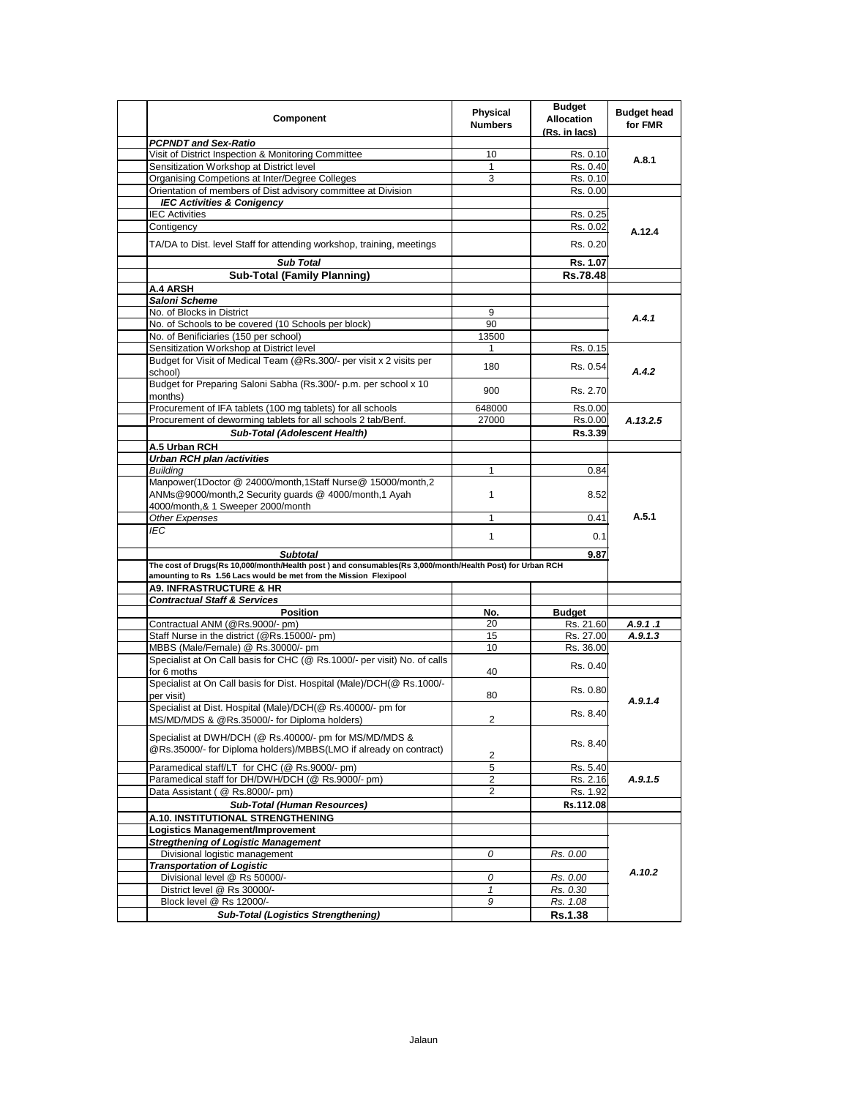| Component                                                                                                                                                | <b>Physical</b><br><b>Numbers</b> | <b>Budget</b><br><b>Allocation</b><br>(Rs. in lacs) | <b>Budget head</b><br>for FMR |
|----------------------------------------------------------------------------------------------------------------------------------------------------------|-----------------------------------|-----------------------------------------------------|-------------------------------|
| <b>PCPNDT and Sex-Ratio</b>                                                                                                                              |                                   |                                                     |                               |
| Visit of District Inspection & Monitoring Committee                                                                                                      | 10                                | Rs. 0.10                                            | A.8.1                         |
| Sensitization Workshop at District level                                                                                                                 | 1                                 | Rs. 0.40                                            |                               |
| Organising Competions at Inter/Degree Colleges                                                                                                           | 3                                 | Rs. 0.10                                            |                               |
| Orientation of members of Dist advisory committee at Division                                                                                            |                                   | Rs. 0.00                                            |                               |
| <b>IEC Activities &amp; Conigency</b>                                                                                                                    |                                   |                                                     |                               |
| <b>IEC Activities</b>                                                                                                                                    |                                   | Rs. 0.25                                            |                               |
| Contigency                                                                                                                                               |                                   | Rs. 0.02                                            | A.12.4                        |
| TA/DA to Dist. level Staff for attending workshop, training, meetings                                                                                    |                                   | Rs. 0.20                                            |                               |
| <b>Sub Total</b>                                                                                                                                         |                                   | Rs. 1.07                                            |                               |
| <b>Sub-Total (Family Planning)</b>                                                                                                                       |                                   | Rs.78.48                                            |                               |
| A.4 ARSH                                                                                                                                                 |                                   |                                                     |                               |
| Saloni Scheme                                                                                                                                            |                                   |                                                     |                               |
| No. of Blocks in District                                                                                                                                | 9                                 |                                                     | A.4.1                         |
| No. of Schools to be covered (10 Schools per block)                                                                                                      | 90                                |                                                     |                               |
| No. of Benificiaries (150 per school)                                                                                                                    | 13500                             |                                                     |                               |
| Sensitization Workshop at District level                                                                                                                 | 1                                 | Rs. 0.15                                            |                               |
| Budget for Visit of Medical Team (@Rs.300/- per visit x 2 visits per<br>school)                                                                          | 180                               | Rs. 0.54                                            | A.4.2                         |
| Budget for Preparing Saloni Sabha (Rs.300/- p.m. per school x 10                                                                                         | 900                               | Rs. 2.70                                            |                               |
| months)                                                                                                                                                  |                                   |                                                     |                               |
| Procurement of IFA tablets (100 mg tablets) for all schools<br>Procurement of deworming tablets for all schools 2 tab/Benf.                              | 648000<br>27000                   | Rs.0.00                                             |                               |
|                                                                                                                                                          |                                   | Rs.0.00                                             | A.13.2.5                      |
| <b>Sub-Total (Adolescent Health)</b>                                                                                                                     |                                   | Rs.3.39                                             |                               |
| A.5 Urban RCH                                                                                                                                            |                                   |                                                     |                               |
| <b>Urban RCH plan /activities</b>                                                                                                                        |                                   |                                                     |                               |
| <b>Buildina</b>                                                                                                                                          | 1                                 | 0.84                                                |                               |
| Manpower(1Doctor @ 24000/month,1Staff Nurse@ 15000/month,2<br>ANMs@9000/month,2 Security quards @ 4000/month,1 Ayah<br>4000/month,& 1 Sweeper 2000/month | 1                                 | 8.52                                                |                               |
| Other Expenses                                                                                                                                           | 1                                 | 0.41                                                | A.5.1                         |
| IEC                                                                                                                                                      |                                   |                                                     |                               |
|                                                                                                                                                          | 1                                 | 0.1                                                 |                               |
| <b>Subtotal</b>                                                                                                                                          |                                   | 9.87                                                |                               |
| The cost of Drugs(Rs 10,000/month/Health post) and consumables(Rs 3,000/month/Health Post) for Urban RCH                                                 |                                   |                                                     |                               |
| amounting to Rs 1.56 Lacs would be met from the Mission Flexipool                                                                                        |                                   |                                                     |                               |
| <b>A9. INFRASTRUCTURE &amp; HR</b>                                                                                                                       |                                   |                                                     |                               |
| <b>Contractual Staff &amp; Services</b>                                                                                                                  |                                   |                                                     |                               |
| <b>Position</b>                                                                                                                                          | No.                               | <b>Budget</b>                                       |                               |
| Contractual ANM (@Rs.9000/- pm)                                                                                                                          | 20                                | Rs. 21.60                                           | A.9.1.1                       |
| Staff Nurse in the district (@Rs.15000/- pm)                                                                                                             | 15                                | Rs. 27.00                                           | A.9.1.3                       |
| MBBS (Male/Female) @ Rs.30000/- pm                                                                                                                       | 10                                | Rs. 36.00                                           |                               |
| Specialist at On Call basis for CHC (@ Rs.1000/- per visit) No. of calls<br>for 6 moths                                                                  | 40                                | Rs. 0.40                                            |                               |
| Specialist at On Call basis for Dist. Hospital (Male)/DCH(@ Rs.1000/-                                                                                    |                                   | Rs. 0.80                                            |                               |
| per visit)<br>Specialist at Dist. Hospital (Male)/DCH(@ Rs.40000/- pm for                                                                                | 80                                |                                                     | A.9.1.4                       |
| MS/MD/MDS & @Rs.35000/- for Diploma holders)                                                                                                             | $\overline{2}$                    | Rs. 8.40                                            |                               |
| Specialist at DWH/DCH (@ Rs.40000/- pm for MS/MD/MDS &<br>@Rs.35000/- for Diploma holders)/MBBS(LMO if already on contract)                              | 2                                 | Rs. 8.40                                            |                               |
| Paramedical staff/LT for CHC (@ Rs.9000/- pm)                                                                                                            | 5                                 | Rs. 5.40                                            | A.9.1.5                       |
| Paramedical staff for DH/DWH/DCH (@ Rs.9000/- pm)                                                                                                        | 2                                 | Rs. 2.16                                            |                               |
| Data Assistant (@ Rs.8000/- pm)                                                                                                                          | 2                                 | Rs. 1.92                                            |                               |
| <b>Sub-Total (Human Resources)</b>                                                                                                                       |                                   | Rs.112.08                                           |                               |
| A.10. INSTITUTIONAL STRENGTHENING                                                                                                                        |                                   |                                                     |                               |
| Logistics Management/Improvement                                                                                                                         |                                   |                                                     |                               |
| <b>Stregthening of Logistic Management</b>                                                                                                               |                                   |                                                     | A.10.2                        |
| Divisional logistic management                                                                                                                           | 0                                 | Rs. 0.00                                            |                               |
| <b>Transportation of Logistic</b>                                                                                                                        |                                   |                                                     |                               |
| Divisional level @ Rs 50000/-                                                                                                                            | 0                                 | Rs. 0.00                                            |                               |
| District level @ Rs 30000/-                                                                                                                              | 1                                 | Rs. 0.30                                            |                               |
| Block level @ Rs 12000/-                                                                                                                                 | 9                                 | Rs. 1.08                                            |                               |
|                                                                                                                                                          |                                   |                                                     |                               |
| <b>Sub-Total (Logistics Strengthening)</b>                                                                                                               |                                   | <b>Rs.1.38</b>                                      |                               |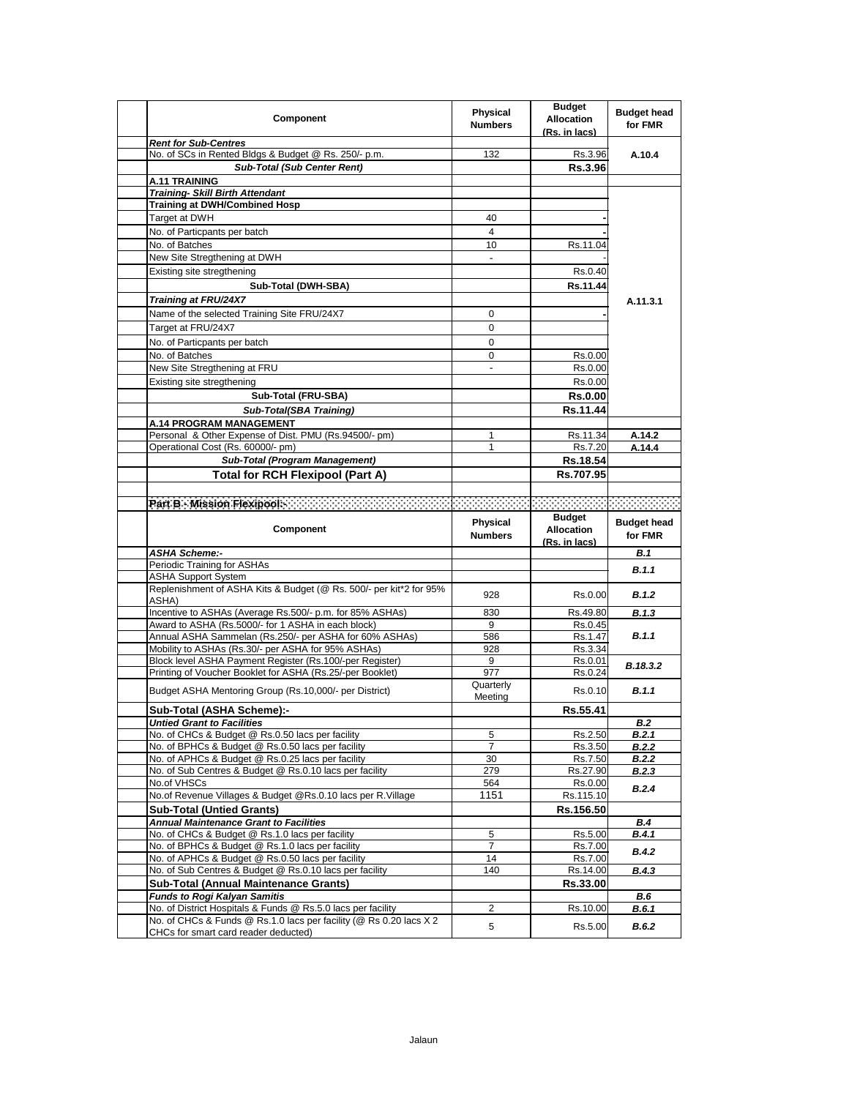| Component                                                                                                                          | <b>Physical</b><br><b>Numbers</b> | <b>Budget</b><br><b>Allocation</b><br>(Rs. in lacs) | <b>Budget head</b><br>for FMR |
|------------------------------------------------------------------------------------------------------------------------------------|-----------------------------------|-----------------------------------------------------|-------------------------------|
| <b>Rent for Sub-Centres</b>                                                                                                        |                                   |                                                     |                               |
| No. of SCs in Rented Bldgs & Budget @ Rs. 250/- p.m.                                                                               | 132                               | Rs.3.96                                             | A.10.4                        |
| <b>Sub-Total (Sub Center Rent)</b>                                                                                                 |                                   | Rs.3.96                                             |                               |
| A.11 TRAINING                                                                                                                      |                                   |                                                     |                               |
| <b>Training- Skill Birth Attendant</b>                                                                                             |                                   |                                                     |                               |
| <b>Training at DWH/Combined Hosp</b>                                                                                               |                                   |                                                     |                               |
| Target at DWH                                                                                                                      | 40                                |                                                     |                               |
| No. of Particpants per batch                                                                                                       | 4                                 |                                                     |                               |
| No. of Batches                                                                                                                     | 10                                | Rs.11.04                                            |                               |
| New Site Stregthening at DWH                                                                                                       |                                   |                                                     |                               |
| Existing site stregthening                                                                                                         |                                   | Rs.0.40                                             |                               |
| Sub-Total (DWH-SBA)                                                                                                                |                                   | Rs.11.44                                            |                               |
| Training at FRU/24X7                                                                                                               |                                   |                                                     | A.11.3.1                      |
| Name of the selected Training Site FRU/24X7                                                                                        | 0                                 |                                                     |                               |
| Target at FRU/24X7                                                                                                                 | 0                                 |                                                     |                               |
| No. of Particpants per batch                                                                                                       | 0                                 |                                                     |                               |
| No. of Batches                                                                                                                     | 0                                 | Rs.0.00                                             |                               |
| New Site Stregthening at FRU                                                                                                       | $\qquad \qquad \blacksquare$      | Rs.0.00                                             |                               |
| Existing site stregthening                                                                                                         |                                   | Rs.0.00                                             |                               |
| Sub-Total (FRU-SBA)                                                                                                                |                                   | Rs.0.00                                             |                               |
| Sub-Total(SBA Training)                                                                                                            |                                   | Rs.11.44                                            |                               |
| A.14 PROGRAM MANAGEMENT                                                                                                            |                                   |                                                     |                               |
| Personal & Other Expense of Dist. PMU (Rs.94500/- pm)                                                                              | 1                                 | Rs 11.34                                            | A.14.2                        |
| Operational Cost (Rs. 60000/- pm)                                                                                                  | 1                                 | Rs.7.20                                             | A.14.4                        |
| Sub-Total (Program Management)                                                                                                     |                                   | Rs.18.54                                            |                               |
| <b>Total for RCH Flexipool (Part A)</b>                                                                                            |                                   | Rs.707.95                                           |                               |
|                                                                                                                                    |                                   |                                                     |                               |
|                                                                                                                                    |                                   |                                                     |                               |
|                                                                                                                                    |                                   | <b>Budget</b>                                       |                               |
|                                                                                                                                    |                                   |                                                     |                               |
| Component                                                                                                                          | <b>Physical</b>                   | <b>Allocation</b>                                   | <b>Budget head</b>            |
|                                                                                                                                    | <b>Numbers</b>                    | (Rs. in lacs)                                       | for FMR                       |
| <b>ASHA Scheme:-</b>                                                                                                               |                                   |                                                     | <b>B.1</b>                    |
| Periodic Training for ASHAs                                                                                                        |                                   |                                                     | B.1.1                         |
| <b>ASHA Support System</b>                                                                                                         |                                   |                                                     |                               |
| Replenishment of ASHA Kits & Budget (@ Rs. 500/- per kit*2 for 95%                                                                 | 928                               | Rs.0.00                                             | B.1.2                         |
| ASHA)                                                                                                                              |                                   |                                                     |                               |
| Incentive to ASHAs (Average Rs.500/- p.m. for 85% ASHAs)                                                                           | 830                               | Rs.49.80                                            | <b>B.1.3</b>                  |
| Award to ASHA (Rs.5000/- for 1 ASHA in each block)                                                                                 | 9                                 | Rs.0.45                                             | B.1.1                         |
| Annual ASHA Sammelan (Rs.250/- per ASHA for 60% ASHAs)<br>Mobility to ASHAs (Rs.30/- per ASHA for 95% ASHAs)                       | 586<br>928                        | Rs.1.47<br>Rs.3.34                                  |                               |
| Block level ASHA Payment Register (Rs.100/-per Register)                                                                           | 9                                 | Rs.0.01                                             |                               |
| Printing of Voucher Booklet for ASHA (Rs.25/-per Booklet)                                                                          | 977                               | Rs.0.24                                             | B.18.3.2                      |
| Budget ASHA Mentoring Group (Rs.10,000/- per District)                                                                             | Quarterly                         | Rs.0.10                                             | B.1.1                         |
|                                                                                                                                    | Meeting                           |                                                     |                               |
| Sub-Total (ASHA Scheme):-                                                                                                          |                                   | Rs.55.41                                            |                               |
| Untied Grant to Facilities<br>No. of CHCs & Budget @ Rs.0.50 lacs per facility                                                     | 5                                 |                                                     | B.2                           |
| No. of BPHCs & Budget @ Rs.0.50 lacs per facility                                                                                  | 7                                 | Rs.2.50<br>Rs.3.50                                  | B.2.1<br><b>B.2.2</b>         |
| No. of APHCs & Budget @ Rs.0.25 lacs per facility                                                                                  | 30                                | Rs.7.50                                             | <b>B.2.2</b>                  |
| No. of Sub Centres & Budget @ Rs.0.10 lacs per facility                                                                            | 279                               | Rs.27.90                                            | <b>B.2.3</b>                  |
| No.of VHSCs                                                                                                                        | 564                               | Rs.0.00                                             |                               |
| No.of Revenue Villages & Budget @Rs.0.10 lacs per R.Village                                                                        | 1151                              | Rs.115.10                                           | B.2.4                         |
| <b>Sub-Total (Untied Grants)</b>                                                                                                   |                                   | Rs.156.50                                           |                               |
| <b>Annual Maintenance Grant to Facilities</b>                                                                                      |                                   |                                                     | <b>B.4</b>                    |
| No. of CHCs & Budget @ Rs.1.0 lacs per facility                                                                                    | 5                                 | Rs.5.00                                             | B.4.1                         |
| No. of BPHCs & Budget @ Rs.1.0 lacs per facility                                                                                   | 7                                 | Rs.7.00                                             | <b>B.4.2</b>                  |
| No. of APHCs & Budget @ Rs.0.50 lacs per facility                                                                                  | 14                                | Rs.7.00                                             |                               |
| No. of Sub Centres & Budget @ Rs.0.10 lacs per facility                                                                            | 140                               | Rs.14.00                                            | B.4.3                         |
| <b>Sub-Total (Annual Maintenance Grants)</b>                                                                                       |                                   | Rs.33.00                                            |                               |
| <b>Funds to Rogi Kalyan Samitis</b>                                                                                                |                                   |                                                     | B.6                           |
| No. of District Hospitals & Funds @ Rs.5.0 lacs per facility<br>No. of CHCs & Funds @ Rs.1.0 lacs per facility (@ Rs 0.20 lacs X 2 | 2<br>5                            | Rs.10.00<br>Rs.5.00                                 | B.6.1<br>B.6.2                |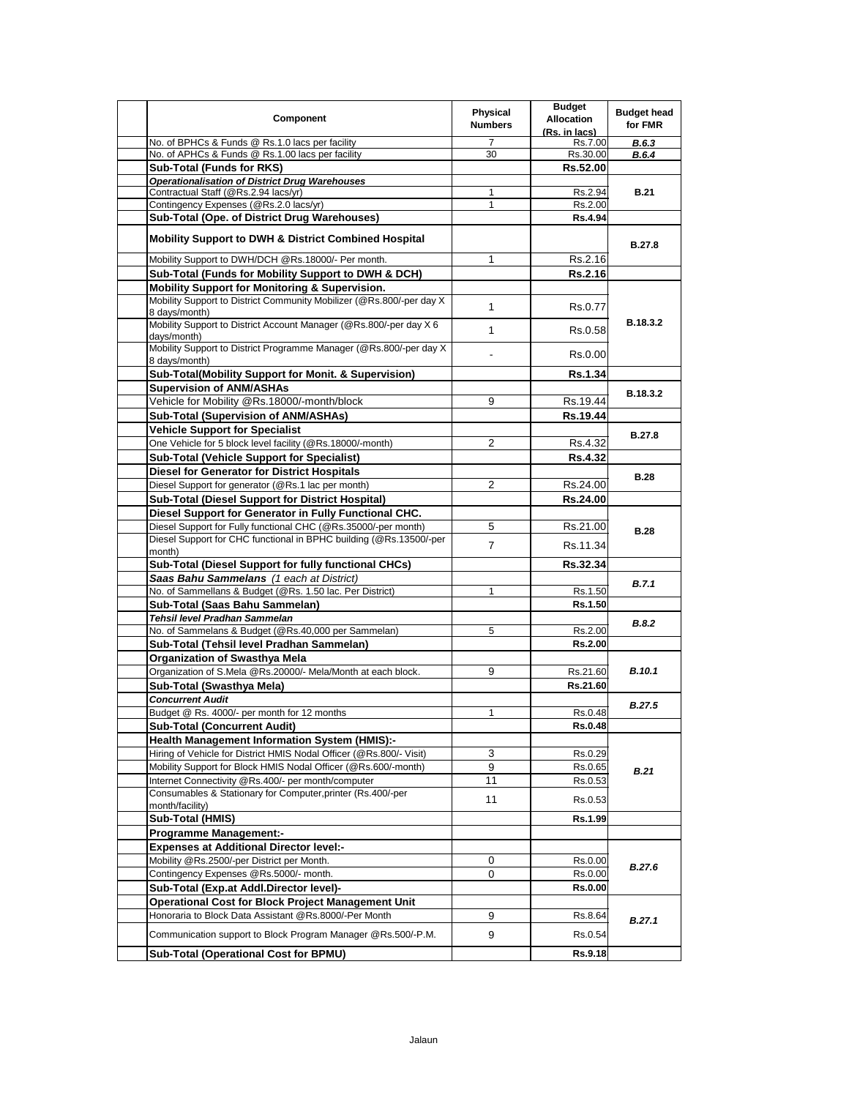| Component                                                                                  | Physical<br><b>Numbers</b> | <b>Budget</b><br><b>Allocation</b><br>(Rs. in lacs) | <b>Budget head</b><br>for FMR |
|--------------------------------------------------------------------------------------------|----------------------------|-----------------------------------------------------|-------------------------------|
| No. of BPHCs & Funds @ Rs.1.0 lacs per facility                                            | 7                          | Rs.7.00                                             | B.6.3                         |
| No. of APHCs & Funds @ Rs.1.00 lacs per facility                                           | 30                         | Rs.30.00                                            | B.6.4                         |
| <b>Sub-Total (Funds for RKS)</b>                                                           |                            | Rs.52.00                                            |                               |
| <b>Operationalisation of District Drug Warehouses</b>                                      |                            |                                                     |                               |
| Contractual Staff (@Rs.2.94 lacs/yr)<br>Contingency Expenses (@Rs.2.0 lacs/yr)             | 1<br>1                     | Rs.2.94                                             | <b>B.21</b>                   |
| Sub-Total (Ope. of District Drug Warehouses)                                               |                            | Rs.2.00<br>Rs.4.94                                  |                               |
|                                                                                            |                            |                                                     |                               |
| <b>Mobility Support to DWH &amp; District Combined Hospital</b>                            |                            |                                                     | <b>B.27.8</b>                 |
| Mobility Support to DWH/DCH @Rs.18000/- Per month.                                         | 1                          | Rs.2.16                                             |                               |
| Sub-Total (Funds for Mobility Support to DWH & DCH)                                        |                            | Rs.2.16                                             |                               |
| <b>Mobility Support for Monitoring &amp; Supervision.</b>                                  |                            |                                                     |                               |
| Mobility Support to District Community Mobilizer (@Rs.800/-per day X)<br>8 days/month)     | $\mathbf{1}$               | Rs.0.77                                             | B.18.3.2                      |
| Mobility Support to District Account Manager (@Rs.800/-per day X 6<br>days/month)          | $\mathbf{1}$               | Rs.0.58                                             |                               |
| Mobility Support to District Programme Manager (@Rs.800/-per day X)<br>8 days/month)       |                            | Rs.0.00                                             |                               |
| Sub-Total(Mobility Support for Monit. & Supervision)                                       |                            | <b>Rs.1.34</b>                                      |                               |
| <b>Supervision of ANM/ASHAs</b>                                                            |                            |                                                     | B.18.3.2                      |
| Vehicle for Mobility @Rs.18000/-month/block                                                | 9                          | Rs.19.44                                            |                               |
| Sub-Total (Supervision of ANM/ASHAs)                                                       |                            | Rs.19.44                                            |                               |
| <b>Vehicle Support for Specialist</b>                                                      |                            |                                                     | <b>B.27.8</b>                 |
| One Vehicle for 5 block level facility (@Rs.18000/-month)                                  | 2                          | Rs.4.32                                             |                               |
| <b>Sub-Total (Vehicle Support for Specialist)</b>                                          |                            | <b>Rs.4.32</b>                                      |                               |
| <b>Diesel for Generator for District Hospitals</b>                                         |                            |                                                     | <b>B.28</b>                   |
| Diesel Support for generator (@Rs.1 lac per month)                                         | $\overline{2}$             | Rs.24.00                                            |                               |
| <b>Sub-Total (Diesel Support for District Hospital)</b>                                    |                            | Rs.24.00                                            |                               |
| Diesel Support for Generator in Fully Functional CHC.                                      |                            |                                                     |                               |
| Diesel Support for Fully functional CHC (@Rs.35000/-per month)                             | 5                          | Rs.21.00                                            | <b>B.28</b>                   |
| Diesel Support for CHC functional in BPHC building (@Rs.13500/-per                         | $\overline{7}$             | Rs.11.34                                            |                               |
| month)                                                                                     |                            |                                                     |                               |
| Sub-Total (Diesel Support for fully functional CHCs)                                       |                            | Rs.32.34                                            |                               |
| Saas Bahu Sammelans (1 each at District)                                                   |                            |                                                     | <b>B.7.1</b>                  |
| No. of Sammellans & Budget (@Rs. 1.50 lac. Per District)<br>Sub-Total (Saas Bahu Sammelan) | 1                          | Rs.1.50<br>Rs.1.50                                  |                               |
| Tehsil level Pradhan Sammelan                                                              |                            |                                                     |                               |
| No. of Sammelans & Budget (@Rs.40,000 per Sammelan)                                        | 5                          | Rs.2.00                                             | <b>B.8.2</b>                  |
| Sub-Total (Tehsil level Pradhan Sammelan)                                                  |                            | Rs.2.00                                             |                               |
| <b>Organization of Swasthya Mela</b>                                                       |                            |                                                     |                               |
| Organization of S.Mela @Rs.20000/- Mela/Month at each block.                               | 9                          | Rs.21.60                                            | <b>B.10.1</b>                 |
| Sub-Total (Swasthya Mela)                                                                  |                            | Rs.21.60                                            |                               |
| <b>Concurrent Audit</b>                                                                    |                            |                                                     |                               |
| Budget @ Rs. 4000/- per month for 12 months                                                | 1                          | Rs.0.48                                             | <b>B.27.5</b>                 |
| <b>Sub-Total (Concurrent Audit)</b>                                                        |                            | Rs.0.48                                             |                               |
| <b>Health Management Information System (HMIS):-</b>                                       |                            |                                                     |                               |
| Hiring of Vehicle for District HMIS Nodal Officer (@Rs.800/- Visit)                        | 3                          | Rs.0.29                                             |                               |
| Mobility Support for Block HMIS Nodal Officer (@Rs.600/-month)                             | 9                          | Rs.0.65                                             | B.21                          |
| Internet Connectivity @Rs.400/- per month/computer                                         | 11                         | Rs.0.53                                             |                               |
| Consumables & Stationary for Computer, printer (Rs.400/-per                                | 11                         | Rs.0.53                                             |                               |
| month/facility)                                                                            |                            |                                                     |                               |
| Sub-Total (HMIS)                                                                           |                            | Rs.1.99                                             |                               |
| <b>Programme Management:-</b>                                                              |                            |                                                     |                               |
| <b>Expenses at Additional Director level:-</b>                                             |                            |                                                     |                               |
| Mobility @Rs.2500/-per District per Month.                                                 | 0                          | Rs.0.00                                             | <b>B.27.6</b>                 |
| Contingency Expenses @Rs.5000/- month.                                                     | 0                          | Rs.0.00                                             |                               |
| Sub-Total (Exp.at Addl.Director level)-                                                    |                            | <b>Rs.0.00</b>                                      |                               |
| <b>Operational Cost for Block Project Management Unit</b>                                  |                            |                                                     | B.27.1                        |
| Honoraria to Block Data Assistant @Rs.8000/-Per Month                                      | 9                          | Rs.8.64                                             |                               |
| Communication support to Block Program Manager @Rs.500/-P.M.                               | 9                          | Rs.0.54                                             |                               |
| Sub-Total (Operational Cost for BPMU)                                                      |                            | Rs.9.18                                             |                               |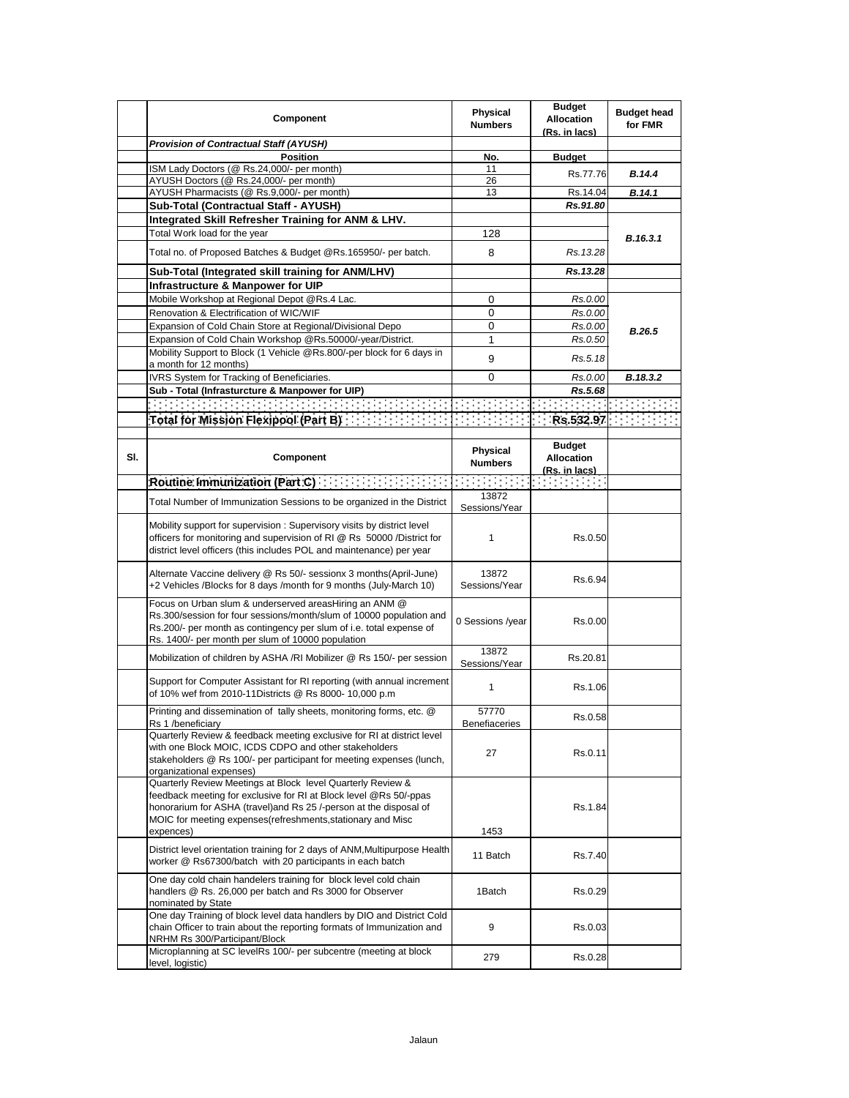|     | Component                                                                                                                                                                                                                                                                          | Physical<br><b>Numbers</b> | <b>Budget</b><br><b>Allocation</b><br>(Rs. in lacs) | <b>Budget head</b><br>for FMR |
|-----|------------------------------------------------------------------------------------------------------------------------------------------------------------------------------------------------------------------------------------------------------------------------------------|----------------------------|-----------------------------------------------------|-------------------------------|
|     | <b>Provision of Contractual Staff (AYUSH)</b>                                                                                                                                                                                                                                      |                            |                                                     |                               |
|     | <b>Position</b>                                                                                                                                                                                                                                                                    | No.                        | <b>Budget</b>                                       |                               |
|     | ISM Lady Doctors (@ Rs.24,000/- per month)                                                                                                                                                                                                                                         | 11                         | Rs.77.76                                            | B.14.4                        |
|     | AYUSH Doctors (@ Rs.24,000/- per month)                                                                                                                                                                                                                                            | 26                         |                                                     |                               |
|     | AYUSH Pharmacists (@ Rs.9,000/- per month)                                                                                                                                                                                                                                         | 13                         | Rs.14.04                                            | B.14.1                        |
|     | Sub-Total (Contractual Staff - AYUSH)                                                                                                                                                                                                                                              |                            | Rs.91.80                                            |                               |
|     | Integrated Skill Refresher Training for ANM & LHV.                                                                                                                                                                                                                                 |                            |                                                     |                               |
|     | Total Work load for the year                                                                                                                                                                                                                                                       | 128                        |                                                     | B.16.3.1                      |
|     | Total no. of Proposed Batches & Budget @Rs.165950/- per batch.                                                                                                                                                                                                                     | 8                          | Rs. 13.28                                           |                               |
|     | Sub-Total (Integrated skill training for ANM/LHV)                                                                                                                                                                                                                                  |                            | Rs.13.28                                            |                               |
|     | Infrastructure & Manpower for UIP                                                                                                                                                                                                                                                  |                            |                                                     |                               |
|     | Mobile Workshop at Regional Depot @Rs.4 Lac.                                                                                                                                                                                                                                       | 0                          | Rs.0.00                                             |                               |
|     | Renovation & Electrification of WIC/WIF                                                                                                                                                                                                                                            | 0                          | Rs.0.00                                             |                               |
|     | Expansion of Cold Chain Store at Regional/Divisional Depo                                                                                                                                                                                                                          | 0                          | Rs.0.00                                             |                               |
|     | Expansion of Cold Chain Workshop @Rs.50000/-year/District.                                                                                                                                                                                                                         | 1                          | Rs.0.50                                             | <b>B.26.5</b>                 |
|     | Mobility Support to Block (1 Vehicle @Rs.800/-per block for 6 days in<br>a month for 12 months)                                                                                                                                                                                    | 9                          | Rs.5.18                                             |                               |
|     | IVRS System for Tracking of Beneficiaries.                                                                                                                                                                                                                                         | 0                          | Rs.0.00                                             | B.18.3.2                      |
|     | Sub - Total (Infrasturcture & Manpower for UIP)                                                                                                                                                                                                                                    |                            | Rs.5.68                                             |                               |
|     |                                                                                                                                                                                                                                                                                    |                            |                                                     |                               |
|     |                                                                                                                                                                                                                                                                                    |                            |                                                     |                               |
|     | Total for Mission Plexipool (Part B): $\{1, 2, 3, 4, 5, 6, 7, 8, 6, 7, 8, 6, 8, 2, 97\}$ , $\{1, 3, 4, 5, 6, 8, 6, 8, 2, 97\}$                                                                                                                                                     |                            |                                                     |                               |
| SI. | Component                                                                                                                                                                                                                                                                          | Physical<br><b>Numbers</b> | <b>Budget</b><br><b>Allocation</b><br>(Rs. in lacs) |                               |
|     | Routine Immunization (Part C) <b>Routine Immunization</b>                                                                                                                                                                                                                          |                            |                                                     |                               |
|     | Total Number of Immunization Sessions to be organized in the District                                                                                                                                                                                                              | 13872<br>Sessions/Year     |                                                     |                               |
|     | Mobility support for supervision: Supervisory visits by district level<br>officers for monitoring and supervision of RI @ Rs 50000 /District for<br>district level officers (this includes POL and maintenance) per year                                                           | 1                          | Rs.0.50                                             |                               |
|     | Alternate Vaccine delivery @ Rs 50/- sessionx 3 months (April-June)<br>+2 Vehicles /Blocks for 8 days /month for 9 months (July-March 10)                                                                                                                                          | 13872<br>Sessions/Year     | Rs.6.94                                             |                               |
|     | Focus on Urban slum & underserved areasHiring an ANM @<br>Rs.300/session for four sessions/month/slum of 10000 population and<br>Rs.200/- per month as contingency per slum of i.e. total expense of<br>Rs. 1400/- per month per slum of 10000 population                          | 0 Sessions /year           | Rs.0.00                                             |                               |
|     | Mobilization of children by ASHA /RI Mobilizer @ Rs 150/- per session                                                                                                                                                                                                              | 13872<br>Sessions/Year     | Rs.20.81                                            |                               |
|     | Support for Computer Assistant for RI reporting (with annual increment<br>of 10% wef from 2010-11Districts @ Rs 8000- 10,000 p.m                                                                                                                                                   | 1                          | Rs.1.06                                             |                               |
|     | Printing and dissemination of tally sheets, monitoring forms, etc. @<br>Rs 1 /beneficiary                                                                                                                                                                                          | 57770<br>Benefiaceries     | Rs.0.58                                             |                               |
|     | Quarterly Review & feedback meeting exclusive for RI at district level<br>with one Block MOIC, ICDS CDPO and other stakeholders<br>stakeholders @ Rs 100/- per participant for meeting expenses (lunch,<br>organizational expenses)                                                | 27                         | Rs.0.11                                             |                               |
|     | Quarterly Review Meetings at Block level Quarterly Review &<br>feedback meeting for exclusive for RI at Block level @Rs 50/-ppas<br>honorarium for ASHA (travel)and Rs 25 /-person at the disposal of<br>MOIC for meeting expenses (refreshments, stationary and Misc<br>expences) | 1453                       | Rs.1.84                                             |                               |
|     | District level orientation training for 2 days of ANM, Multipurpose Health<br>worker @ Rs67300/batch with 20 participants in each batch                                                                                                                                            | 11 Batch                   | Rs.7.40                                             |                               |
|     | One day cold chain handelers training for block level cold chain<br>handlers @ Rs. 26,000 per batch and Rs 3000 for Observer<br>nominated by State                                                                                                                                 | 1Batch                     | Rs.0.29                                             |                               |
|     | One day Training of block level data handlers by DIO and District Cold<br>chain Officer to train about the reporting formats of Immunization and<br>NRHM Rs 300/Participant/Block                                                                                                  | 9                          | Rs.0.03                                             |                               |
|     | Microplanning at SC levelRs 100/- per subcentre (meeting at block<br>level, logistic)                                                                                                                                                                                              | 279                        | Rs.0.28                                             |                               |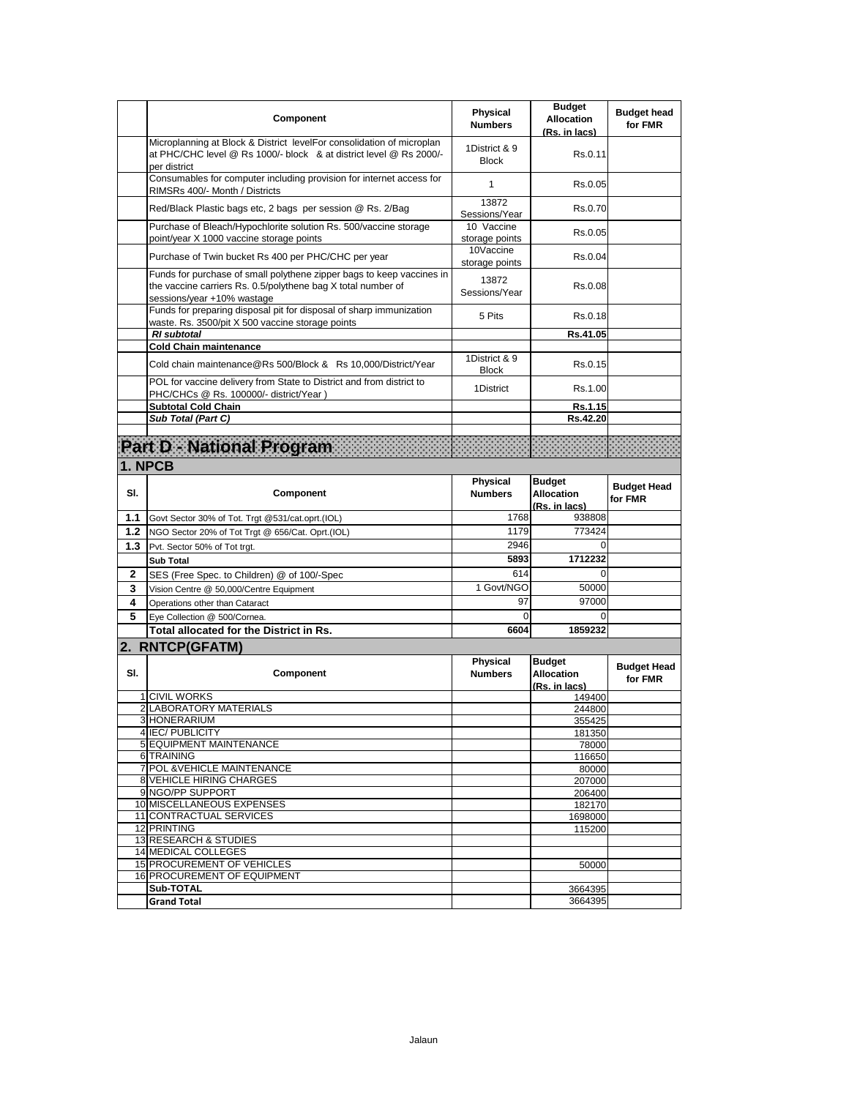|     | Component                                                                                                                                                           | Physical<br><b>Numbers</b>    | <b>Budget</b><br><b>Allocation</b><br>(Rs. in lacs) | <b>Budget head</b><br>for FMR |
|-----|---------------------------------------------------------------------------------------------------------------------------------------------------------------------|-------------------------------|-----------------------------------------------------|-------------------------------|
|     | Microplanning at Block & District levelFor consolidation of microplan<br>at PHC/CHC level @ Rs 1000/- block & at district level @ Rs 2000/-<br>per district         | 1District & 9<br><b>Block</b> | Rs.0.11                                             |                               |
|     | Consumables for computer including provision for internet access for<br>RIMSRs 400/- Month / Districts                                                              | 1                             | Rs.0.05                                             |                               |
|     | Red/Black Plastic bags etc, 2 bags per session @ Rs. 2/Bag                                                                                                          | 13872<br>Sessions/Year        | Rs.0.70                                             |                               |
|     | Purchase of Bleach/Hypochlorite solution Rs. 500/vaccine storage<br>point/year X 1000 vaccine storage points                                                        | 10 Vaccine<br>storage points  | Rs.0.05                                             |                               |
|     | Purchase of Twin bucket Rs 400 per PHC/CHC per year                                                                                                                 | 10Vaccine<br>storage points   | Rs.0.04                                             |                               |
|     | Funds for purchase of small polythene zipper bags to keep vaccines in<br>the vaccine carriers Rs. 0.5/polythene bag X total number of<br>sessions/year +10% wastage | 13872<br>Sessions/Year        | Rs.0.08                                             |                               |
|     | Funds for preparing disposal pit for disposal of sharp immunization<br>waste. Rs. 3500/pit X 500 vaccine storage points                                             | 5 Pits                        | Rs.0.18                                             |                               |
|     | <b>RI</b> subtotal                                                                                                                                                  |                               | Rs.41.05                                            |                               |
|     | <b>Cold Chain maintenance</b><br>Cold chain maintenance@Rs 500/Block & Rs 10,000/District/Year                                                                      | 1District & 9<br><b>Block</b> | Rs.0.15                                             |                               |
|     | POL for vaccine delivery from State to District and from district to<br>PHC/CHCs @ Rs. 100000/- district/Year)                                                      | 1District                     | Rs.1.00                                             |                               |
|     | <b>Subtotal Cold Chain</b>                                                                                                                                          |                               | Rs.1.15                                             |                               |
|     | Sub Total (Part C)                                                                                                                                                  |                               | Rs.42.20                                            |                               |
|     |                                                                                                                                                                     |                               |                                                     |                               |
|     | Part D - National Program                                                                                                                                           |                               |                                                     |                               |
|     | 1. NPCB                                                                                                                                                             |                               |                                                     |                               |
|     |                                                                                                                                                                     |                               |                                                     |                               |
| SI. | Component                                                                                                                                                           | Physical<br><b>Numbers</b>    | <b>Budget</b><br><b>Allocation</b><br>(Rs. in lacs) | <b>Budget Head</b><br>for FMR |
| 1.1 | Govt Sector 30% of Tot. Trgt @531/cat.oprt.(IOL)                                                                                                                    | 1768                          | 938808                                              |                               |
| 1.2 | NGO Sector 20% of Tot Trgt @ 656/Cat. Oprt.(IOL)                                                                                                                    | 1179                          | 773424                                              |                               |
| 1.3 | Pvt. Sector 50% of Tot trgt.                                                                                                                                        | 2946                          | 0                                                   |                               |
|     | <b>Sub Total</b>                                                                                                                                                    | 5893                          | 1712232                                             |                               |
| 2   | SES (Free Spec. to Children) @ of 100/-Spec                                                                                                                         | 614                           | $\Omega$                                            |                               |
| 3   | Vision Centre @ 50,000/Centre Equipment                                                                                                                             | 1 Govt/NGO                    | 50000                                               |                               |
| 4   | Operations other than Cataract                                                                                                                                      | 97                            | 97000                                               |                               |
| 5   | Eye Collection @ 500/Cornea.                                                                                                                                        | 0                             | 0                                                   |                               |
|     | Total allocated for the District in Rs.                                                                                                                             | 6604                          | 1859232                                             |                               |
|     | 2. RNTCP(GFATM)                                                                                                                                                     |                               |                                                     |                               |
| SI. | Component<br><b>1 CIVIL WORKS</b>                                                                                                                                   | Physical<br><b>Numbers</b>    | <b>Budget</b><br><b>Allocation</b><br>(Rs. in lacs) | <b>Budget Head</b><br>for FMR |
|     | 2 LABORATORY MATERIALS                                                                                                                                              |                               | 149400<br>244800                                    |                               |
|     | 3 HONERARIUM                                                                                                                                                        |                               | 355425                                              |                               |
|     | 4 IEC/ PUBLICITY                                                                                                                                                    |                               | 181350                                              |                               |
|     | 5 EQUIPMENT MAINTENANCE                                                                                                                                             |                               | 78000                                               |                               |
|     | 6 TRAINING                                                                                                                                                          |                               | 116650                                              |                               |
|     | 7 POL & VEHICLE MAINTENANCE                                                                                                                                         |                               | 80000                                               |                               |
|     | 8 VEHICLE HIRING CHARGES<br>9 NGO/PP SUPPORT                                                                                                                        |                               | 207000<br>206400                                    |                               |
|     |                                                                                                                                                                     |                               |                                                     |                               |
|     | 10 MISCELLANEOUS EXPENSES                                                                                                                                           |                               | 182170                                              |                               |
|     | 11 CONTRACTUAL SERVICES                                                                                                                                             |                               | 1698000                                             |                               |
|     | 12 PRINTING                                                                                                                                                         |                               | 115200                                              |                               |
|     | 13 RESEARCH & STUDIES                                                                                                                                               |                               |                                                     |                               |
|     | 14 MEDICAL COLLEGES                                                                                                                                                 |                               |                                                     |                               |
|     | 15 PROCUREMENT OF VEHICLES                                                                                                                                          |                               | 50000                                               |                               |
|     | 16 PROCUREMENT OF EQUIPMENT<br>Sub-TOTAL                                                                                                                            |                               | 3664395                                             |                               |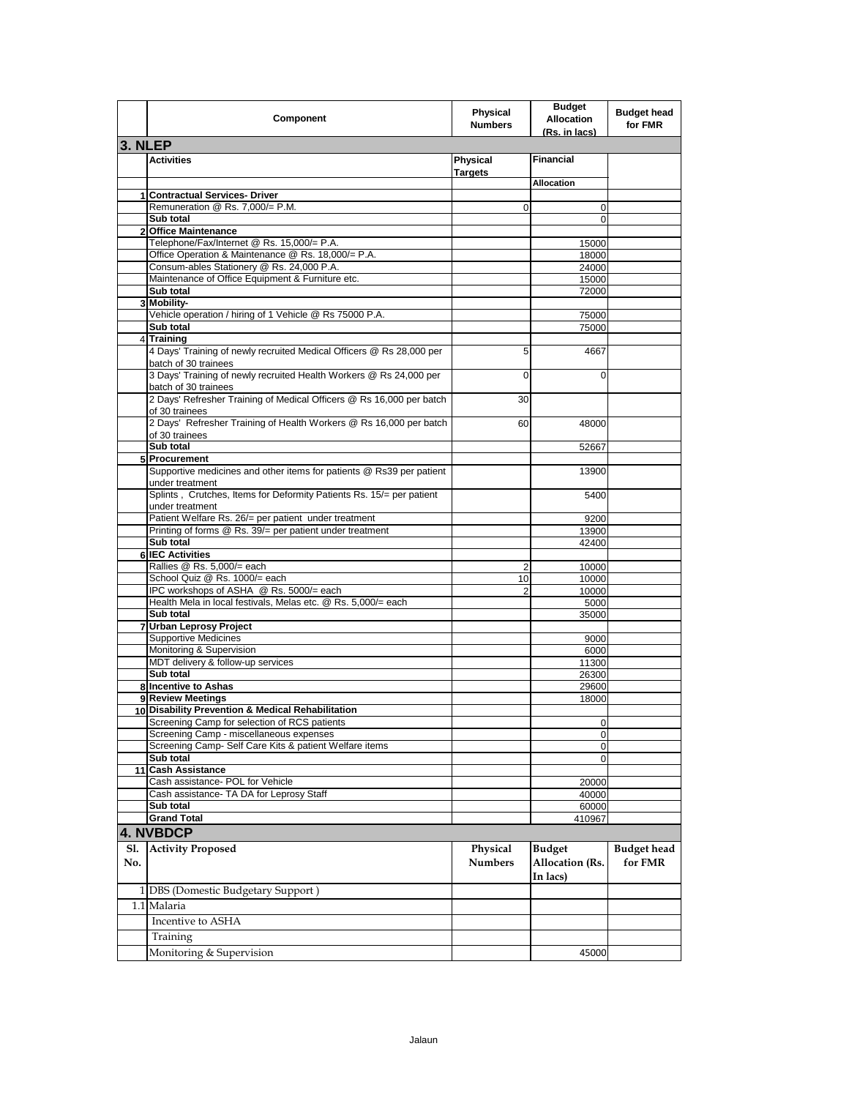|            | Component                                                                                                                                                       | <b>Physical</b><br><b>Numbers</b> | <b>Budget</b><br><b>Allocation</b><br>(Rs. in lacs) | <b>Budget head</b><br>for FMR |
|------------|-----------------------------------------------------------------------------------------------------------------------------------------------------------------|-----------------------------------|-----------------------------------------------------|-------------------------------|
| 3. NLEP    |                                                                                                                                                                 |                                   |                                                     |                               |
|            | <b>Activities</b>                                                                                                                                               | Physical<br><b>Targets</b>        | <b>Financial</b>                                    |                               |
|            |                                                                                                                                                                 |                                   | <b>Allocation</b>                                   |                               |
|            | 1 Contractual Services- Driver<br>Remuneration @ Rs. 7,000/= P.M.                                                                                               |                                   |                                                     |                               |
|            | Sub total                                                                                                                                                       | 0                                 | 0<br>$\Omega$                                       |                               |
|            | 2 Office Maintenance                                                                                                                                            |                                   |                                                     |                               |
|            | Telephone/Fax/Internet @ Rs. 15,000/= P.A.                                                                                                                      |                                   | 15000                                               |                               |
|            | Office Operation & Maintenance @ Rs. 18,000/= P.A.                                                                                                              |                                   | 18000                                               |                               |
|            | Consum-ables Stationery @ Rs. 24,000 P.A.                                                                                                                       |                                   | 24000                                               |                               |
|            | Maintenance of Office Equipment & Furniture etc.<br>Sub total                                                                                                   |                                   | 15000<br>72000                                      |                               |
|            | 3 Mobility-                                                                                                                                                     |                                   |                                                     |                               |
|            | Vehicle operation / hiring of 1 Vehicle @ Rs 75000 P.A.                                                                                                         |                                   | 75000                                               |                               |
|            | Sub total                                                                                                                                                       |                                   | 75000                                               |                               |
|            | 4 Training                                                                                                                                                      |                                   |                                                     |                               |
|            | 4 Days' Training of newly recruited Medical Officers @ Rs 28,000 per<br>batch of 30 trainees                                                                    | 5                                 | 4667                                                |                               |
|            | 3 Days' Training of newly recruited Health Workers @ Rs 24,000 per<br>batch of 30 trainees                                                                      | 0                                 | $\Omega$                                            |                               |
|            | 2 Days' Refresher Training of Medical Officers @ Rs 16,000 per batch<br>of 30 trainees                                                                          | 30                                |                                                     |                               |
|            | 2 Days' Refresher Training of Health Workers @ Rs 16,000 per batch<br>of 30 trainees                                                                            | 60                                | 48000                                               |                               |
|            | Sub total                                                                                                                                                       |                                   | 52667                                               |                               |
|            | 5 Procurement                                                                                                                                                   |                                   |                                                     |                               |
|            | Supportive medicines and other items for patients @ Rs39 per patient<br>under treatment<br>Splints, Crutches, Items for Deformity Patients Rs. 15/= per patient |                                   | 13900                                               |                               |
|            | under treatment                                                                                                                                                 |                                   | 5400                                                |                               |
|            | Patient Welfare Rs. 26/= per patient under treatment<br>Printing of forms @ Rs. 39/= per patient under treatment                                                |                                   | 9200<br>13900                                       |                               |
|            | Sub total                                                                                                                                                       |                                   | 42400                                               |                               |
|            | 6 IEC Activities                                                                                                                                                |                                   |                                                     |                               |
|            | Rallies @ Rs. 5,000/= each                                                                                                                                      | 2                                 | 10000                                               |                               |
|            | School Quiz @ Rs. 1000/= each                                                                                                                                   | 10                                | 10000                                               |                               |
|            | IPC workshops of ASHA @ Rs. 5000/= each<br>Health Mela in local festivals, Melas etc. @ Rs. 5,000/= each                                                        | 2                                 | 10000<br>5000                                       |                               |
|            | Sub total                                                                                                                                                       |                                   | 35000                                               |                               |
|            | 7 Urban Leprosy Project                                                                                                                                         |                                   |                                                     |                               |
|            | <b>Supportive Medicines</b>                                                                                                                                     |                                   | 9000                                                |                               |
|            | Monitoring & Supervision                                                                                                                                        |                                   | 6000                                                |                               |
|            | MDT delivery & follow-up services                                                                                                                               |                                   | 11300                                               |                               |
|            | Sub total<br>8 Incentive to Ashas                                                                                                                               |                                   | 26300<br>29600                                      |                               |
|            | 9 Review Meetings                                                                                                                                               |                                   | 18000                                               |                               |
|            | 10 Disability Prevention & Medical Rehabilitation                                                                                                               |                                   |                                                     |                               |
|            | Screening Camp for selection of RCS patients                                                                                                                    |                                   | 0                                                   |                               |
|            | Screening Camp - miscellaneous expenses                                                                                                                         |                                   | 0                                                   |                               |
|            | Screening Camp- Self Care Kits & patient Welfare items<br>Sub total                                                                                             |                                   | 0<br>0                                              |                               |
|            | 11 Cash Assistance                                                                                                                                              |                                   |                                                     |                               |
|            | Cash assistance- POL for Vehicle                                                                                                                                |                                   | 20000                                               |                               |
|            | Cash assistance- TA DA for Leprosy Staff                                                                                                                        |                                   | 40000                                               |                               |
|            | Sub total                                                                                                                                                       |                                   | 60000                                               |                               |
|            | <b>Grand Total</b>                                                                                                                                              |                                   | 410967                                              |                               |
|            | <b>4. NVBDCP</b>                                                                                                                                                |                                   |                                                     |                               |
| Sl.<br>No. | <b>Activity Proposed</b>                                                                                                                                        | Physical<br><b>Numbers</b>        | <b>Budget</b><br>Allocation (Rs.                    | <b>Budget</b> head<br>for FMR |
|            | 1 DBS (Domestic Budgetary Support)                                                                                                                              |                                   | In lacs)                                            |                               |
|            | 1.1 Malaria                                                                                                                                                     |                                   |                                                     |                               |
|            | Incentive to ASHA                                                                                                                                               |                                   |                                                     |                               |
|            | Training                                                                                                                                                        |                                   |                                                     |                               |
|            | Monitoring & Supervision                                                                                                                                        |                                   | 45000                                               |                               |